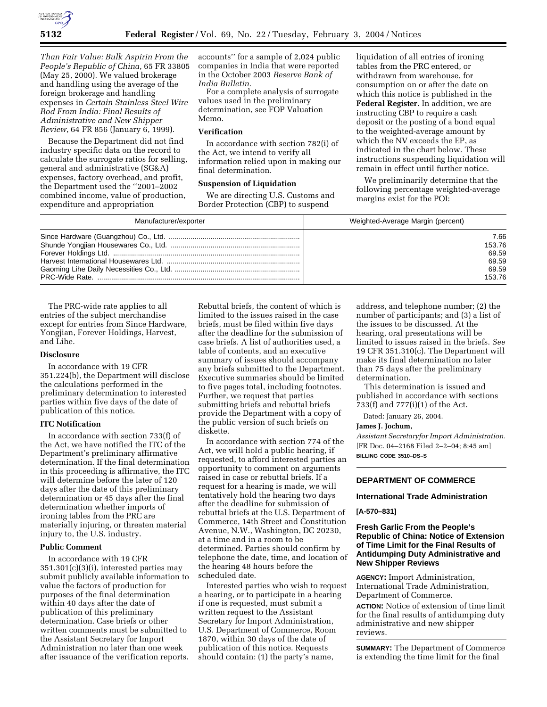

*Than Fair Value: Bulk Aspirin From the People's Republic of China*, 65 FR 33805 (May 25, 2000). We valued brokerage and handling using the average of the foreign brokerage and handling expenses in *Certain Stainless Steel Wire Rod From India: Final Results of Administrative and New Shipper Review*, 64 FR 856 (January 6, 1999).

Because the Department did not find industry specific data on the record to calculate the surrogate ratios for selling, general and administrative (SG&A) expenses, factory overhead, and profit, the Department used the ''2001–2002 combined income, value of production, expenditure and appropriation

accounts'' for a sample of 2,024 public companies in India that were reported in the October 2003 *Reserve Bank of India Bulletin*.

For a complete analysis of surrogate values used in the preliminary determination, see FOP Valuation Memo.

### **Verification**

In accordance with section 782(i) of the Act, we intend to verify all information relied upon in making our final determination.

### **Suspension of Liquidation**

We are directing U.S. Customs and Border Protection (CBP) to suspend

liquidation of all entries of ironing tables from the PRC entered, or withdrawn from warehouse, for consumption on or after the date on which this notice is published in the **Federal Register**. In addition, we are instructing CBP to require a cash deposit or the posting of a bond equal to the weighted-average amount by which the NV exceeds the EP, as indicated in the chart below. These instructions suspending liquidation will remain in effect until further notice.

We preliminarily determine that the following percentage weighted-average margins exist for the POI:

| Manufacturer/exporter | Weighted-Average Margin (percent) |
|-----------------------|-----------------------------------|
|                       | 7.66                              |
|                       | 153.76                            |
|                       | 69.59                             |
|                       | 69.59                             |
|                       | 69.59                             |
|                       | 153.76                            |

The PRC-wide rate applies to all entries of the subject merchandise except for entries from Since Hardware, Yongjian, Forever Holdings, Harvest, and Lihe.

### **Disclosure**

In accordance with 19 CFR 351.224(b), the Department will disclose the calculations performed in the preliminary determination to interested parties within five days of the date of publication of this notice.

### **ITC Notification**

In accordance with section 733(f) of the Act, we have notified the ITC of the Department's preliminary affirmative determination. If the final determination in this proceeding is affirmative, the ITC will determine before the later of 120 days after the date of this preliminary determination or 45 days after the final determination whether imports of ironing tables from the PRC are materially injuring, or threaten material injury to, the U.S. industry.

#### **Public Comment**

In accordance with 19 CFR 351.301(c)(3)(i), interested parties may submit publicly available information to value the factors of production for purposes of the final determination within 40 days after the date of publication of this preliminary determination. Case briefs or other written comments must be submitted to the Assistant Secretary for Import Administration no later than one week after issuance of the verification reports.

Rebuttal briefs, the content of which is limited to the issues raised in the case briefs, must be filed within five days after the deadline for the submission of case briefs. A list of authorities used, a table of contents, and an executive summary of issues should accompany any briefs submitted to the Department. Executive summaries should be limited to five pages total, including footnotes. Further, we request that parties submitting briefs and rebuttal briefs provide the Department with a copy of the public version of such briefs on diskette.

In accordance with section 774 of the Act, we will hold a public hearing, if requested, to afford interested parties an opportunity to comment on arguments raised in case or rebuttal briefs. If a request for a hearing is made, we will tentatively hold the hearing two days after the deadline for submission of rebuttal briefs at the U.S. Department of Commerce, 14th Street and Constitution Avenue, N.W., Washington, DC 20230, at a time and in a room to be determined. Parties should confirm by telephone the date, time, and location of the hearing 48 hours before the scheduled date.

Interested parties who wish to request a hearing, or to participate in a hearing if one is requested, must submit a written request to the Assistant Secretary for Import Administration, U.S. Department of Commerce, Room 1870, within 30 days of the date of publication of this notice. Requests should contain: (1) the party's name,

address, and telephone number; (2) the number of participants; and (3) a list of the issues to be discussed. At the hearing, oral presentations will be limited to issues raised in the briefs. *See* 19 CFR 351.310(c). The Department will make its final determination no later than 75 days after the preliminary determination.

This determination is issued and published in accordance with sections 733(f) and 777(i)(1) of the Act.

Dated: January 26, 2004.

### **James J. Jochum,**

*Assistant Secretaryfor Import Administration.* [FR Doc. 04–2168 Filed 2–2–04; 8:45 am] **BILLING CODE 3510–DS–S**

## **DEPARTMENT OF COMMERCE**

### **International Trade Administration**

#### **[A-570–831]**

### **Fresh Garlic From the People's Republic of China: Notice of Extension of Time Limit for the Final Results of Antidumping Duty Administrative and New Shipper Reviews**

**AGENCY:** Import Administration, International Trade Administration, Department of Commerce.

**ACTION:** Notice of extension of time limit for the final results of antidumping duty administrative and new shipper reviews.

**SUMMARY:** The Department of Commerce is extending the time limit for the final